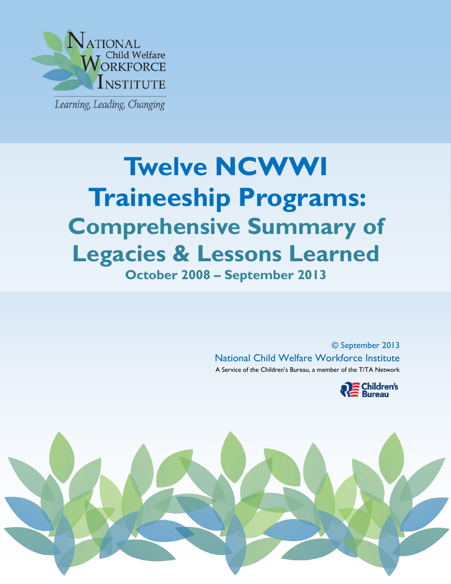

j

# **October 2008 – September 2013 Twelve NCWWI Traineeship Programs: Comprehensive Summary of Legacies & Lessons Learned**

© September 2013 National Child Welfare Workforce Institute A Service of the Children's Bureau, a member of the T/TA Network



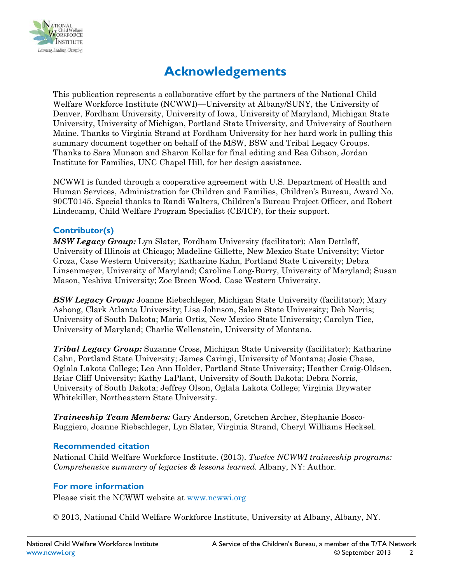

# **Acknowledgements**

This publication represents a collaborative effort by the partners of the National Child Welfare Workforce Institute (NCWWI)—University at Albany/SUNY, the University of Denver, Fordham University, University of Iowa, University of Maryland, Michigan State University, University of Michigan, Portland State University, and University of Southern Maine. Thanks to Virginia Strand at Fordham University for her hard work in pulling this summary document together on behalf of the MSW, BSW and Tribal Legacy Groups. Thanks to Sara Munson and Sharon Kollar for final editing and Rea Gibson, Jordan Institute for Families, UNC Chapel Hill, for her design assistance.

NCWWI is funded through a cooperative agreement with U.S. Department of Health and Human Services, Administration for Children and Families, Children's Bureau, Award No. 90CT0145. Special thanks to Randi Walters, Children's Bureau Project Officer, and Robert Lindecamp, Child Welfare Program Specialist (CB/ICF), for their support.

# **Contributor(s)**

*MSW Legacy Group:* Lyn Slater, Fordham University (facilitator); Alan Dettlaff, University of Illinois at Chicago; Madeline Gillette, New Mexico State University; Victor Groza, Case Western University; Katharine Kahn, Portland State University; Debra Linsenmeyer, University of Maryland; Caroline Long-Burry, University of Maryland; Susan Mason, Yeshiva University; Zoe Breen Wood, Case Western University.

*BSW Legacy Group:* Joanne Riebschleger, Michigan State University (facilitator); Mary Ashong, Clark Atlanta University; Lisa Johnson, Salem State University; Deb Norris; University of South Dakota; Maria Ortiz, New Mexico State University; Carolyn Tice, University of Maryland; Charlie Wellenstein, University of Montana.

*Tribal Legacy Group:* Suzanne Cross, Michigan State University (facilitator); Katharine Cahn, Portland State University; James Caringi, University of Montana; Josie Chase, Oglala Lakota College; Lea Ann Holder, Portland State University; Heather Craig-Oldsen, Briar Cliff University; Kathy LaPlant, University of South Dakota; Debra Norris, University of South Dakota; Jeffrey Olson, Oglala Lakota College; Virginia Drywater Whitekiller, Northeastern State University.

*Traineeship Team Members:* Gary Anderson, Gretchen Archer, Stephanie Bosco-Ruggiero, Joanne Riebschleger, Lyn Slater, Virginia Strand, Cheryl Williams Hecksel.

### **Recommended citation**

National Child Welfare Workforce Institute. (2013). *Twelve NCWWI traineeship programs: Comprehensive summary of legacies & lessons learned.* Albany, NY: Author.

### **For more information**

Please visit the NCWWI website at [www.ncwwi.org](http://www.ncwwi.org/)

© 2013, National Child Welfare Workforce Institute, University at Albany, Albany, NY.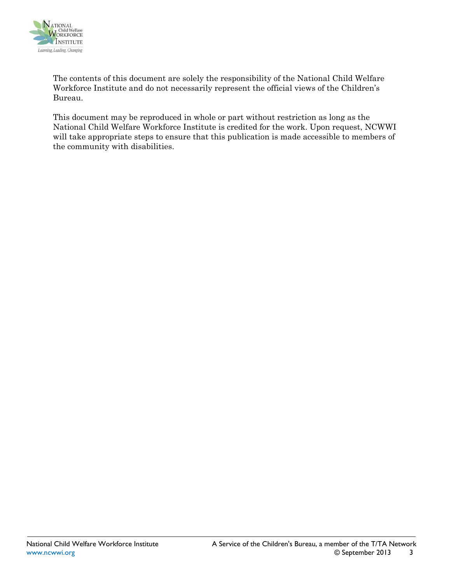

The contents of this document are solely the responsibility of the National Child Welfare Workforce Institute and do not necessarily represent the official views of the Children's Bureau.

This document may be reproduced in whole or part without restriction as long as the National Child Welfare Workforce Institute is credited for the work. Upon request, NCWWI will take appropriate steps to ensure that this publication is made accessible to members of the community with disabilities.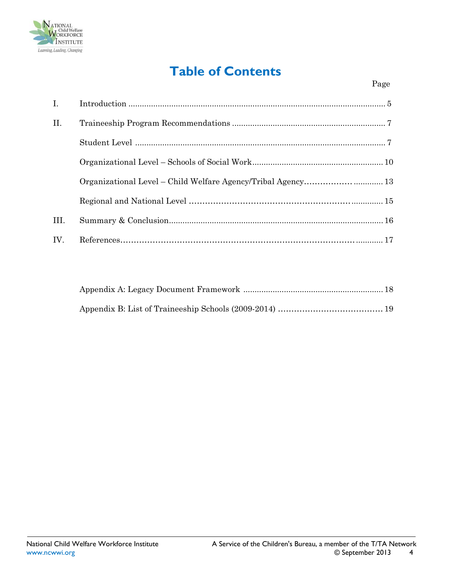

# **Table of Contents**

| $\mathbf{I}$ . |  |
|----------------|--|
| II.            |  |
|                |  |
|                |  |
|                |  |
|                |  |
| III.           |  |
| IV.            |  |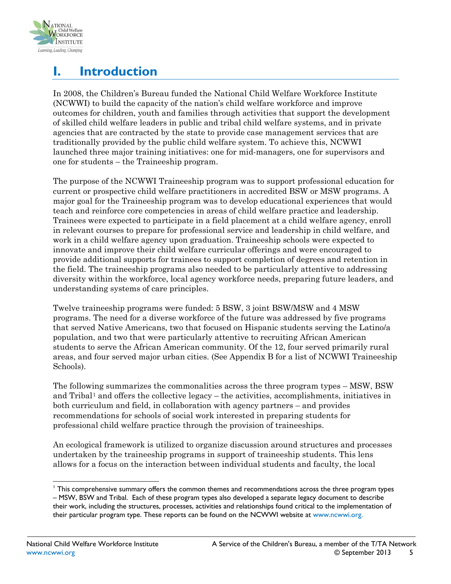

# <span id="page-4-0"></span>**I. Introduction**

In 2008, the Children's Bureau funded the National Child Welfare Workforce Institute (NCWWI) to build the capacity of the nation's child welfare workforce and improve outcomes for children, youth and families through activities that support the development of skilled child welfare leaders in public and tribal child welfare systems, and in private agencies that are contracted by the state to provide case management services that are traditionally provided by the public child welfare system. To achieve this, NCWWI launched three major training initiatives: one for mid-managers, one for supervisors and one for students – the Traineeship program.

The purpose of the NCWWI Traineeship program was to support professional education for current or prospective child welfare practitioners in accredited BSW or MSW programs. A major goal for the Traineeship program was to develop educational experiences that would teach and reinforce core competencies in areas of child welfare practice and leadership. Trainees were expected to participate in a field placement at a child welfare agency, enroll in relevant courses to prepare for professional service and leadership in child welfare, and work in a child welfare agency upon graduation. Traineeship schools were expected to innovate and improve their child welfare curricular offerings and were encouraged to provide additional supports for trainees to support completion of degrees and retention in the field. The traineeship programs also needed to be particularly attentive to addressing diversity within the workforce, local agency workforce needs, preparing future leaders, and understanding systems of care principles.

Twelve traineeship programs were funded: 5 BSW, 3 joint BSW/MSW and 4 MSW programs. The need for a diverse workforce of the future was addressed by five programs that served Native Americans, two that focused on Hispanic students serving the Latino/a population, and two that were particularly attentive to recruiting African American students to serve the African American community. Of the 12, four served primarily rural areas, and four served major urban cities. (See Appendix B for a list of NCWWI Traineeship Schools).

The following summarizes the commonalities across the three program types – MSW, BSW and Tribal<sup>[1](#page-4-1)</sup> and offers the collective legacy – the activities, accomplishments, initiatives in both curriculum and field, in collaboration with agency partners – and provides recommendations for schools of social work interested in preparing students for professional child welfare practice through the provision of traineeships.

An ecological framework is utilized to organize discussion around structures and processes undertaken by the traineeship programs in support of traineeship students. This lens allows for a focus on the interaction between individual students and faculty, the local

<span id="page-4-1"></span><sup>1</sup> This comprehensive summary offers the common themes and recommendations across the three program types – MSW, BSW and Tribal. Each of these program types also developed a separate legacy document to describe their work, including the structures, processes, activities and relationships found critical to the implementation of their particular program type. These reports can be found on the NCWWI website at [www.ncwwi.org.](http://www.ncwwi.org/)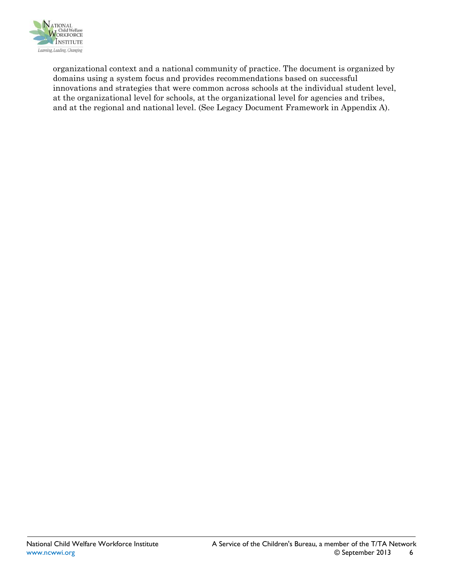

organizational context and a national community of practice. The document is organized by domains using a system focus and provides recommendations based on successful innovations and strategies that were common across schools at the individual student level, at the organizational level for schools, at the organizational level for agencies and tribes, and at the regional and national level. (See Legacy Document Framework in Appendix A).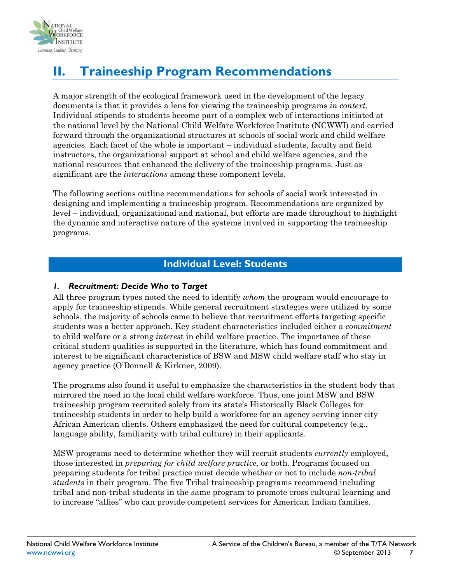

# <span id="page-6-0"></span>**II. Traineeship Program Recommendations**

A major strength of the ecological framework used in the development of the legacy documents is that it provides a lens for viewing the traineeship programs *in context.* Individual stipends to students become part of a complex web of interactions initiated at the national level by the National Child Welfare Workforce Institute (NCWWI) and carried forward through the organizational structures at schools of social work and child welfare agencies. Each facet of the whole is important – individual students, faculty and field instructors, the organizational support at school and child welfare agencies, and the national resources that enhanced the delivery of the traineeship programs. Just as significant are the *interactions* among these component levels.

The following sections outline recommendations for schools of social work interested in designing and implementing a traineeship program. Recommendations are organized by level – individual, organizational and national, but efforts are made throughout to highlight the dynamic and interactive nature of the systems involved in supporting the traineeship programs.

# **Individual Level: Students**

# <span id="page-6-1"></span>*1. Recruitment: Decide Who to Target*

All three program types noted the need to identify *whom* the program would encourage to apply for traineeship stipends. While general recruitment strategies were utilized by some schools, the majority of schools came to believe that recruitment efforts targeting specific students was a better approach. Key student characteristics included either a *commitment* to child welfare or a strong *interes*t in child welfare practice. The importance of these critical student qualities is supported in the literature, which has found commitment and interest to be significant characteristics of BSW and MSW child welfare staff who stay in agency practice (O'Donnell & Kirkner, 2009).

The programs also found it useful to emphasize the characteristics in the student body that mirrored the need in the local child welfare workforce. Thus, one joint MSW and BSW traineeship program recruited solely from its state's Historically Black Colleges for traineeship students in order to help build a workforce for an agency serving inner city African American clients. Others emphasized the need for cultural competency (e.g., language ability, familiarity with tribal culture) in their applicants.

MSW programs need to determine whether they will recruit students *currently* employed, those interested in *preparing for child welfare practice,* or both. Programs focused on preparing students for tribal practice must decide whether or not to include *non-tribal students* in their program. The five Tribal traineeship programs recommend including tribal and non-tribal students in the same program to promote cross cultural learning and to increase "allies" who can provide competent services for American Indian families.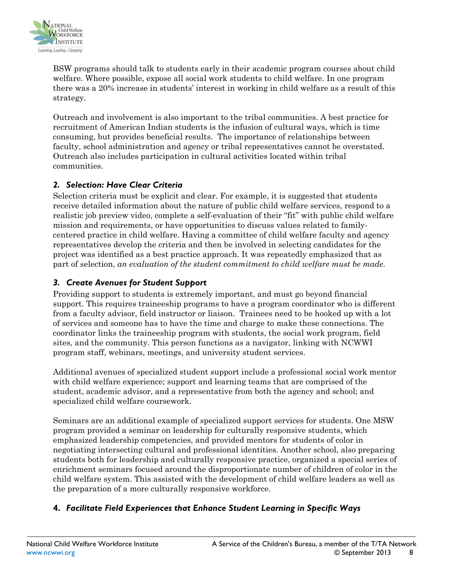

BSW programs should talk to students early in their academic program courses about child welfare. Where possible, expose all social work students to child welfare. In one program there was a 20% increase in students' interest in working in child welfare as a result of this strategy.

Outreach and involvement is also important to the tribal communities. A best practice for recruitment of American Indian students is the infusion of cultural ways, which is time consuming, but provides beneficial results. The importance of relationships between faculty, school administration and agency or tribal representatives cannot be overstated. Outreach also includes participation in cultural activities located within tribal communities.

### *2. Selection: Have Clear Criteria*

Selection criteria must be explicit and clear. For example, it is suggested that students receive detailed information about the nature of public child welfare services, respond to a realistic job preview video, complete a self-evaluation of their "fit" with public child welfare mission and requirements, or have opportunities to discuss values related to familycentered practice in child welfare. Having a committee of child welfare faculty and agency representatives develop the criteria and then be involved in selecting candidates for the project was identified as a best practice approach. It was repeatedly emphasized that as part of selection, *an evaluation of the student commitment to child welfare must be made.*

# *3. Create Avenues for Student Support*

Providing support to students is extremely important, and must go beyond financial support. This requires traineeship programs to have a program coordinator who is different from a faculty advisor, field instructor or liaison. Trainees need to be hooked up with a lot of services and someone has to have the time and charge to make these connections. The coordinator links the traineeship program with students, the social work program, field sites, and the community. This person functions as a navigator, linking with NCWWI program staff, webinars, meetings, and university student services.

Additional avenues of specialized student support include a professional social work mentor with child welfare experience; support and learning teams that are comprised of the student, academic advisor, and a representative from both the agency and school; and specialized child welfare coursework.

Seminars are an additional example of specialized support services for students. One MSW program provided a seminar on leadership for culturally responsive students, which emphasized leadership competencies, and provided mentors for students of color in negotiating intersecting cultural and professional identities. Another school, also preparing students both for leadership and culturally responsive practice, organized a special series of enrichment seminars focused around the disproportionate number of children of color in the child welfare system. This assisted with the development of child welfare leaders as well as the preparation of a more culturally responsive workforce.

# **4.** *Facilitate Field Experiences that Enhance Student Learning in Specific Ways*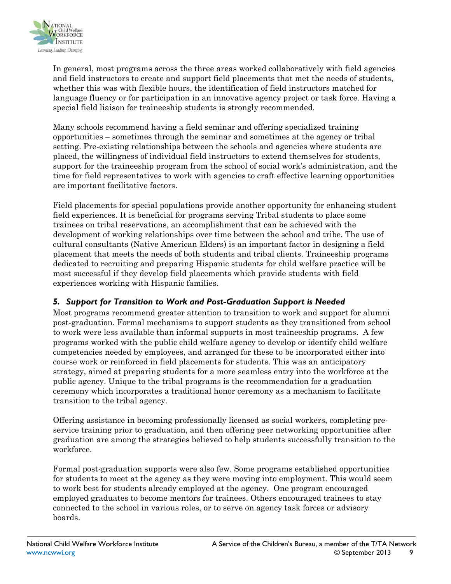

In general, most programs across the three areas worked collaboratively with field agencies and field instructors to create and support field placements that met the needs of students, whether this was with flexible hours, the identification of field instructors matched for language fluency or for participation in an innovative agency project or task force. Having a special field liaison for traineeship students is strongly recommended.

Many schools recommend having a field seminar and offering specialized training opportunities – sometimes through the seminar and sometimes at the agency or tribal setting. Pre-existing relationships between the schools and agencies where students are placed, the willingness of individual field instructors to extend themselves for students, support for the traineeship program from the school of social work's administration, and the time for field representatives to work with agencies to craft effective learning opportunities are important facilitative factors.

Field placements for special populations provide another opportunity for enhancing student field experiences. It is beneficial for programs serving Tribal students to place some trainees on tribal reservations, an accomplishment that can be achieved with the development of working relationships over time between the school and tribe. The use of cultural consultants (Native American Elders) is an important factor in designing a field placement that meets the needs of both students and tribal clients. Traineeship programs dedicated to recruiting and preparing Hispanic students for child welfare practice will be most successful if they develop field placements which provide students with field experiences working with Hispanic families.

# *5. Support for Transition to Work and Post-Graduation Support is Needed*

Most programs recommend greater attention to transition to work and support for alumni post-graduation. Formal mechanisms to support students as they transitioned from school to work were less available than informal supports in most traineeship programs. A few programs worked with the public child welfare agency to develop or identify child welfare competencies needed by employees, and arranged for these to be incorporated either into course work or reinforced in field placements for students. This was an anticipatory strategy, aimed at preparing students for a more seamless entry into the workforce at the public agency. Unique to the tribal programs is the recommendation for a graduation ceremony which incorporates a traditional honor ceremony as a mechanism to facilitate transition to the tribal agency.

Offering assistance in becoming professionally licensed as social workers, completing preservice training prior to graduation, and then offering peer networking opportunities after graduation are among the strategies believed to help students successfully transition to the workforce.

Formal post-graduation supports were also few. Some programs established opportunities for students to meet at the agency as they were moving into employment. This would seem to work best for students already employed at the agency. One program encouraged employed graduates to become mentors for trainees. Others encouraged trainees to stay connected to the school in various roles, or to serve on agency task forces or advisory boards.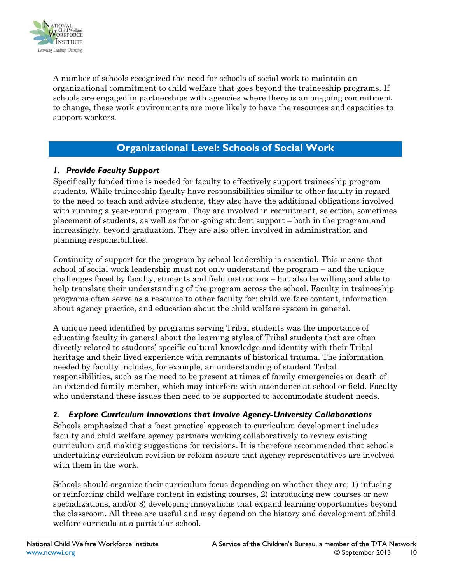

A number of schools recognized the need for schools of social work to maintain an organizational commitment to child welfare that goes beyond the traineeship programs. If schools are engaged in partnerships with agencies where there is an on-going commitment to change, these work environments are more likely to have the resources and capacities to support workers.

# **Organizational Level: Schools of Social Work**

# <span id="page-9-0"></span>*1. Provide Faculty Support*

Specifically funded time is needed for faculty to effectively support traineeship program students. While traineeship faculty have responsibilities similar to other faculty in regard to the need to teach and advise students, they also have the additional obligations involved with running a year-round program. They are involved in recruitment, selection, sometimes placement of students, as well as for on-going student support – both in the program and increasingly, beyond graduation. They are also often involved in administration and planning responsibilities.

Continuity of support for the program by school leadership is essential. This means that school of social work leadership must not only understand the program – and the unique challenges faced by faculty, students and field instructors – but also be willing and able to help translate their understanding of the program across the school. Faculty in traineeship programs often serve as a resource to other faculty for: child welfare content, information about agency practice, and education about the child welfare system in general.

A unique need identified by programs serving Tribal students was the importance of educating faculty in general about the learning styles of Tribal students that are often directly related to students' specific cultural knowledge and identity with their Tribal heritage and their lived experience with remnants of historical trauma. The information needed by faculty includes, for example, an understanding of student Tribal responsibilities, such as the need to be present at times of family emergencies or death of an extended family member, which may interfere with attendance at school or field. Faculty who understand these issues then need to be supported to accommodate student needs.

### *2. Explore Curriculum Innovations that Involve Agency-University Collaborations*

Schools emphasized that a 'best practice' approach to curriculum development includes faculty and child welfare agency partners working collaboratively to review existing curriculum and making suggestions for revisions. It is therefore recommended that schools undertaking curriculum revision or reform assure that agency representatives are involved with them in the work.

Schools should organize their curriculum focus depending on whether they are: 1) infusing or reinforcing child welfare content in existing courses, 2) introducing new courses or new specializations, and/or 3) developing innovations that expand learning opportunities beyond the classroom. All three are useful and may depend on the history and development of child welfare curricula at a particular school.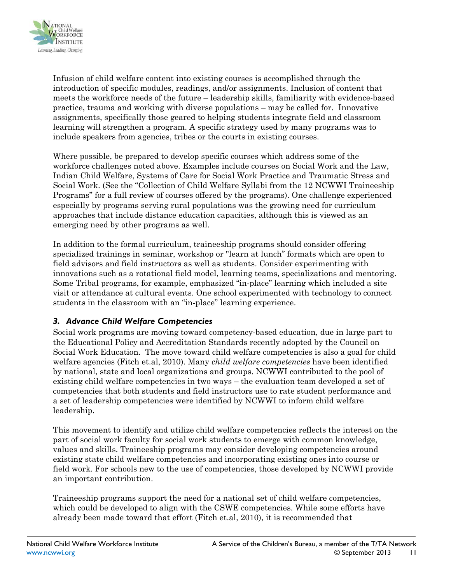

Infusion of child welfare content into existing courses is accomplished through the introduction of specific modules, readings, and/or assignments. Inclusion of content that meets the workforce needs of the future – leadership skills, familiarity with evidence-based practice, trauma and working with diverse populations – may be called for. Innovative assignments, specifically those geared to helping students integrate field and classroom learning will strengthen a program. A specific strategy used by many programs was to include speakers from agencies, tribes or the courts in existing courses.

Where possible, be prepared to develop specific courses which address some of the workforce challenges noted above. Examples include courses on Social Work and the Law, Indian Child Welfare, Systems of Care for Social Work Practice and Traumatic Stress and Social Work. (See the "Collection of Child Welfare Syllabi from the 12 NCWWI Traineeship Programs" for a full review of courses offered by the programs). One challenge experienced especially by programs serving rural populations was the growing need for curriculum approaches that include distance education capacities, although this is viewed as an emerging need by other programs as well.

In addition to the formal curriculum, traineeship programs should consider offering specialized trainings in seminar, workshop or "learn at lunch" formats which are open to field advisors and field instructors as well as students. Consider experimenting with innovations such as a rotational field model, learning teams, specializations and mentoring. Some Tribal programs, for example, emphasized "in-place" learning which included a site visit or attendance at cultural events. One school experimented with technology to connect students in the classroom with an "in-place" learning experience.

# *3. Advance Child Welfare Competencies*

Social work programs are moving toward competency-based education, due in large part to the Educational Policy and Accreditation Standards recently adopted by the Council on Social Work Education. The move toward child welfare competencies is also a goal for child welfare agencies (Fitch et.al, 2010). Many *child welfare competencies* have been identified by national, state and local organizations and groups. NCWWI contributed to the pool of existing child welfare competencies in two ways – the evaluation team developed a set of competencies that both students and field instructors use to rate student performance and a set of leadership competencies were identified by NCWWI to inform child welfare leadership.

This movement to identify and utilize child welfare competencies reflects the interest on the part of social work faculty for social work students to emerge with common knowledge, values and skills. Traineeship programs may consider developing competencies around existing state child welfare competencies and incorporating existing ones into course or field work. For schools new to the use of competencies, those developed by NCWWI provide an important contribution.

Traineeship programs support the need for a national set of child welfare competencies, which could be developed to align with the CSWE competencies. While some efforts have already been made toward that effort (Fitch et.al, 2010), it is recommended that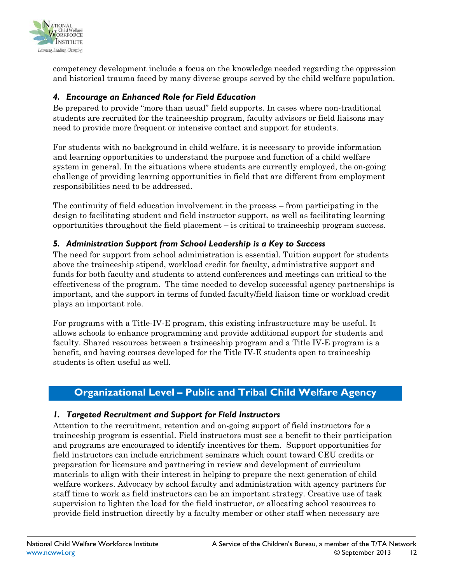

competency development include a focus on the knowledge needed regarding the oppression and historical trauma faced by many diverse groups served by the child welfare population.

# *4. Encourage an Enhanced Role for Field Education*

Be prepared to provide "more than usual" field supports. In cases where non-traditional students are recruited for the traineeship program, faculty advisors or field liaisons may need to provide more frequent or intensive contact and support for students.

For students with no background in child welfare, it is necessary to provide information and learning opportunities to understand the purpose and function of a child welfare system in general. In the situations where students are currently employed, the on-going challenge of providing learning opportunities in field that are different from employment responsibilities need to be addressed.

The continuity of field education involvement in the process – from participating in the design to facilitating student and field instructor support, as well as facilitating learning opportunities throughout the field placement – is critical to traineeship program success.

# *5. Administration Support from School Leadership is a Key to Success*

The need for support from school administration is essential. Tuition support for students above the traineeship stipend, workload credit for faculty, administrative support and funds for both faculty and students to attend conferences and meetings can critical to the effectiveness of the program. The time needed to develop successful agency partnerships is important, and the support in terms of funded faculty/field liaison time or workload credit plays an important role.

For programs with a Title-IV-E program, this existing infrastructure may be useful. It allows schools to enhance programming and provide additional support for students and faculty. Shared resources between a traineeship program and a Title IV-E program is a benefit, and having courses developed for the Title IV-E students open to traineeship students is often useful as well.

# <span id="page-11-0"></span>**Organizational Level – Public and Tribal Child Welfare Agency**

# *1. Targeted Recruitment and Support for Field Instructors*

Attention to the recruitment, retention and on-going support of field instructors for a traineeship program is essential. Field instructors must see a benefit to their participation and programs are encouraged to identify incentives for them. Support opportunities for field instructors can include enrichment seminars which count toward CEU credits or preparation for licensure and partnering in review and development of curriculum materials to align with their interest in helping to prepare the next generation of child welfare workers. Advocacy by school faculty and administration with agency partners for staff time to work as field instructors can be an important strategy. Creative use of task supervision to lighten the load for the field instructor, or allocating school resources to provide field instruction directly by a faculty member or other staff when necessary are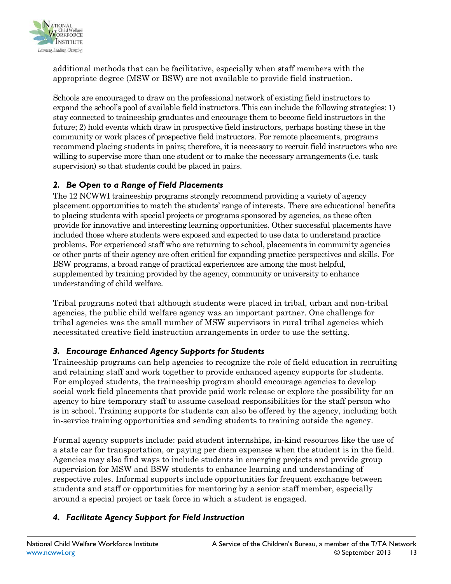

additional methods that can be facilitative, especially when staff members with the appropriate degree (MSW or BSW) are not available to provide field instruction.

Schools are encouraged to draw on the professional network of existing field instructors to expand the school's pool of available field instructors. This can include the following strategies: 1) stay connected to traineeship graduates and encourage them to become field instructors in the future; 2) hold events which draw in prospective field instructors, perhaps hosting these in the community or work places of prospective field instructors. For remote placements, programs recommend placing students in pairs; therefore, it is necessary to recruit field instructors who are willing to supervise more than one student or to make the necessary arrangements (i.e. task supervision) so that students could be placed in pairs.

# *2. Be Open to a Range of Field Placements*

The 12 NCWWI traineeship programs strongly recommend providing a variety of agency placement opportunities to match the students' range of interests. There are educational benefits to placing students with special projects or programs sponsored by agencies, as these often provide for innovative and interesting learning opportunities. Other successful placements have included those where students were exposed and expected to use data to understand practice problems. For experienced staff who are returning to school, placements in community agencies or other parts of their agency are often critical for expanding practice perspectives and skills. For BSW programs, a broad range of practical experiences are among the most helpful, supplemented by training provided by the agency, community or university to enhance understanding of child welfare.

Tribal programs noted that although students were placed in tribal, urban and non-tribal agencies, the public child welfare agency was an important partner. One challenge for tribal agencies was the small number of MSW supervisors in rural tribal agencies which necessitated creative field instruction arrangements in order to use the setting.

# *3. Encourage Enhanced Agency Supports for Students*

Traineeship programs can help agencies to recognize the role of field education in recruiting and retaining staff and work together to provide enhanced agency supports for students. For employed students, the traineeship program should encourage agencies to develop social work field placements that provide paid work release or explore the possibility for an agency to hire temporary staff to assume caseload responsibilities for the staff person who is in school. Training supports for students can also be offered by the agency, including both in-service training opportunities and sending students to training outside the agency.

Formal agency supports include: paid student internships, in-kind resources like the use of a state car for transportation, or paying per diem expenses when the student is in the field. Agencies may also find ways to include students in emerging projects and provide group supervision for MSW and BSW students to enhance learning and understanding of respective roles. Informal supports include opportunities for frequent exchange between students and staff or opportunities for mentoring by a senior staff member, especially around a special project or task force in which a student is engaged.

# *4. Facilitate Agency Support for Field Instruction*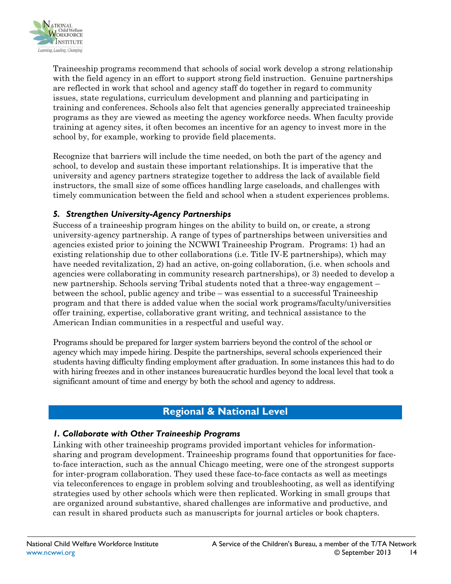

Traineeship programs recommend that schools of social work develop a strong relationship with the field agency in an effort to support strong field instruction. Genuine partnerships are reflected in work that school and agency staff do together in regard to community issues, state regulations, curriculum development and planning and participating in training and conferences. Schools also felt that agencies generally appreciated traineeship programs as they are viewed as meeting the agency workforce needs. When faculty provide training at agency sites, it often becomes an incentive for an agency to invest more in the school by, for example, working to provide field placements.

Recognize that barriers will include the time needed, on both the part of the agency and school, to develop and sustain these important relationships. It is imperative that the university and agency partners strategize together to address the lack of available field instructors, the small size of some offices handling large caseloads, and challenges with timely communication between the field and school when a student experiences problems.

# *5. Strengthen University-Agency Partnerships*

Success of a traineeship program hinges on the ability to build on, or create, a strong university-agency partnership. A range of types of partnerships between universities and agencies existed prior to joining the NCWWI Traineeship Program. Programs: 1) had an existing relationship due to other collaborations (i.e. Title IV-E partnerships), which may have needed revitalization, 2) had an active, on-going collaboration, (i.e. when schools and agencies were collaborating in community research partnerships), or 3) needed to develop a new partnership. Schools serving Tribal students noted that a three-way engagement – between the school, public agency and tribe – was essential to a successful Traineeship program and that there is added value when the social work programs/faculty/universities offer training, expertise, collaborative grant writing, and technical assistance to the American Indian communities in a respectful and useful way.

Programs should be prepared for larger system barriers beyond the control of the school or agency which may impede hiring. Despite the partnerships, several schools experienced their students having difficulty finding employment after graduation. In some instances this had to do with hiring freezes and in other instances bureaucratic hurdles beyond the local level that took a significant amount of time and energy by both the school and agency to address.

# **Regional & National Level**

### <span id="page-13-0"></span>*1. Collaborate with Other Traineeship Programs*

Linking with other traineeship programs provided important vehicles for informationsharing and program development. Traineeship programs found that opportunities for faceto-face interaction, such as the annual Chicago meeting, were one of the strongest supports for inter-program collaboration. They used these face-to-face contacts as well as meetings via teleconferences to engage in problem solving and troubleshooting, as well as identifying strategies used by other schools which were then replicated. Working in small groups that are organized around substantive, shared challenges are informative and productive, and can result in shared products such as manuscripts for journal articles or book chapters.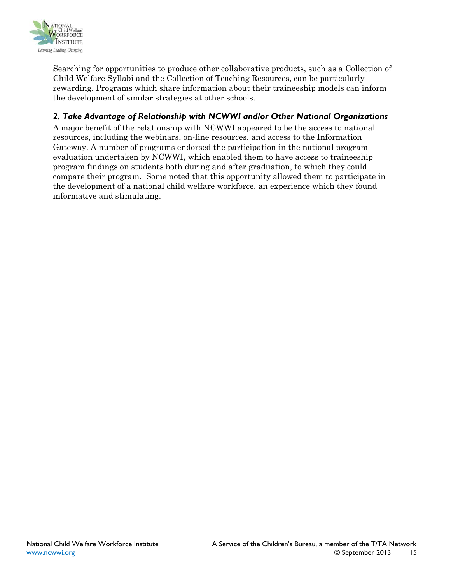

Searching for opportunities to produce other collaborative products, such as a Collection of Child Welfare Syllabi and the Collection of Teaching Resources, can be particularly rewarding. Programs which share information about their traineeship models can inform the development of similar strategies at other schools.

# *2. Take Advantage of Relationship with NCWWI and/or Other National Organizations*

A major benefit of the relationship with NCWWI appeared to be the access to national resources, including the webinars, on-line resources, and access to the Information Gateway. A number of programs endorsed the participation in the national program evaluation undertaken by NCWWI, which enabled them to have access to traineeship program findings on students both during and after graduation, to which they could compare their program. Some noted that this opportunity allowed them to participate in the development of a national child welfare workforce, an experience which they found informative and stimulating.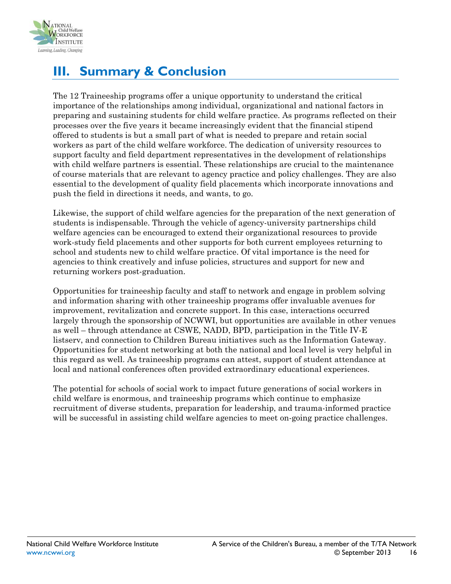

# <span id="page-15-0"></span>**III. Summary & Conclusion**

The 12 Traineeship programs offer a unique opportunity to understand the critical importance of the relationships among individual, organizational and national factors in preparing and sustaining students for child welfare practice. As programs reflected on their processes over the five years it became increasingly evident that the financial stipend offered to students is but a small part of what is needed to prepare and retain social workers as part of the child welfare workforce. The dedication of university resources to support faculty and field department representatives in the development of relationships with child welfare partners is essential. These relationships are crucial to the maintenance of course materials that are relevant to agency practice and policy challenges. They are also essential to the development of quality field placements which incorporate innovations and push the field in directions it needs, and wants, to go.

Likewise, the support of child welfare agencies for the preparation of the next generation of students is indispensable. Through the vehicle of agency-university partnerships child welfare agencies can be encouraged to extend their organizational resources to provide work-study field placements and other supports for both current employees returning to school and students new to child welfare practice. Of vital importance is the need for agencies to think creatively and infuse policies, structures and support for new and returning workers post-graduation.

Opportunities for traineeship faculty and staff to network and engage in problem solving and information sharing with other traineeship programs offer invaluable avenues for improvement, revitalization and concrete support. In this case, interactions occurred largely through the sponsorship of NCWWI, but opportunities are available in other venues as well – through attendance at CSWE, NADD, BPD, participation in the Title IV-E listserv, and connection to Children Bureau initiatives such as the Information Gateway. Opportunities for student networking at both the national and local level is very helpful in this regard as well. As traineeship programs can attest, support of student attendance at local and national conferences often provided extraordinary educational experiences.

<span id="page-15-1"></span>The potential for schools of social work to impact future generations of social workers in child welfare is enormous, and traineeship programs which continue to emphasize recruitment of diverse students, preparation for leadership, and trauma-informed practice will be successful in assisting child welfare agencies to meet on-going practice challenges.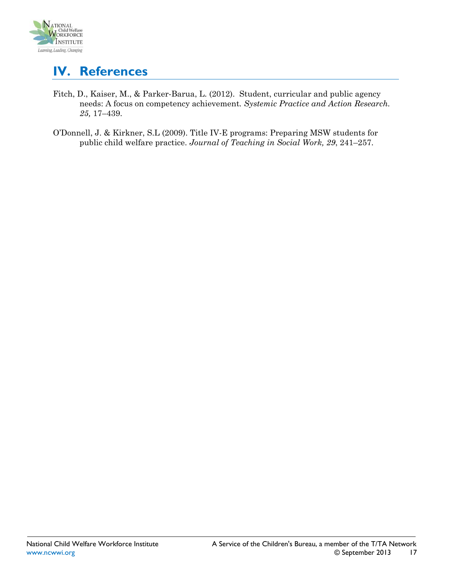

# **IV. References**

- Fitch, D., Kaiser, M., & Parker-Barua, L. (2012). Student, curricular and public agency needs: A focus on competency achievement*. Systemic Practice and Action Research. 25,* 17–439.
- O'Donnell, J. & Kirkner, S.L (2009). Title IV-E programs: Preparing MSW students for public child welfare practice. *Journal of Teaching in Social Work, 29*, 241–257.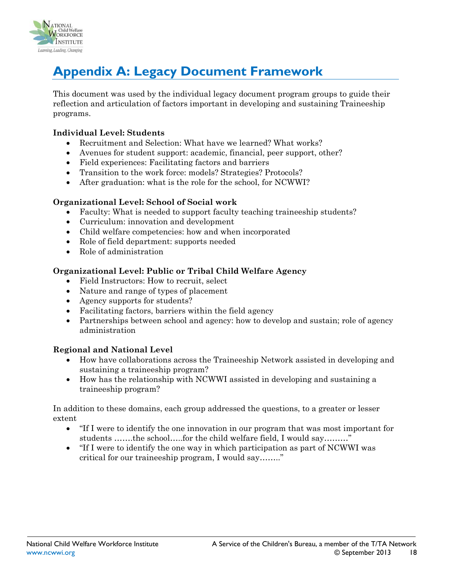

# <span id="page-17-0"></span>**Appendix A: Legacy Document Framework**

This document was used by the individual legacy document program groups to guide their reflection and articulation of factors important in developing and sustaining Traineeship programs.

#### **Individual Level: Students**

- Recruitment and Selection: What have we learned? What works?
- Avenues for student support: academic, financial, peer support, other?
- Field experiences: Facilitating factors and barriers
- Transition to the work force: models? Strategies? Protocols?
- After graduation: what is the role for the school, for NCWWI?

#### **Organizational Level: School of Social work**

- Faculty: What is needed to support faculty teaching traineeship students?
- Curriculum: innovation and development
- Child welfare competencies: how and when incorporated
- Role of field department: supports needed
- Role of administration

### **Organizational Level: Public or Tribal Child Welfare Agency**

- Field Instructors: How to recruit, select
- Nature and range of types of placement
- Agency supports for students?
- Facilitating factors, barriers within the field agency
- Partnerships between school and agency: how to develop and sustain; role of agency administration

### **Regional and National Level**

- How have collaborations across the Traineeship Network assisted in developing and sustaining a traineeship program?
- How has the relationship with NCWWI assisted in developing and sustaining a traineeship program?

In addition to these domains, each group addressed the questions, to a greater or lesser extent

- "If I were to identify the one innovation in our program that was most important for students …….the school…..for the child welfare field, I would say………"
- "If I were to identify the one way in which participation as part of NCWWI was critical for our traineeship program, I would say…….."